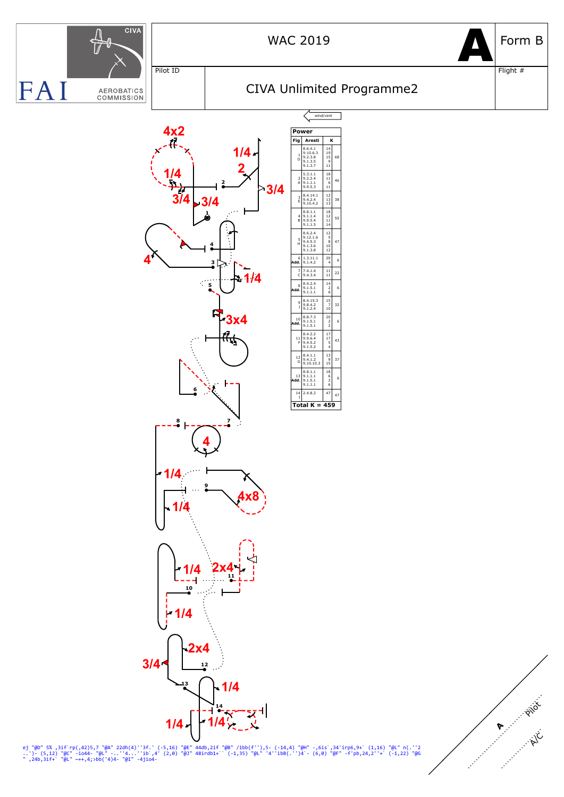

Pilot ID

wind/vent



Flight #



**Power Fig Aresti K** 8.6.4.1 14 9.10.6.3 19 9.2.3.8 15 9.1.3.5 9 9.1.3.7 11 1 D 68 5.3.1.1 18 9.2.2.4 11 9.1.1.1 6 9.9.5.3 11 2 A 46 8.4.14.1 12 9.4.2.4 13 9.10.4.2 13 3 E 38 8.8.1.1 18<br>
9.1.1.4 12<br>
9.9.5.4 11<br>
9.1.1.5 14 4 B 55 8.6.2.4 12 9.12.1.6 5 9.4.5.3 8 9.1.3.6 10 9.1.3.8 12 5 H 47  $\begin{array}{|c|c|c|c|c|}\n\hline\n\text{Add.} & 9.1.4.2 & 4 & 6\n\end{array}$ 6  $7 \begin{array}{|l} 7.4.1.4 \\[-4pt] 9.4.3.4 \end{array}$   $\begin{array}{|l} 11 \\[-4pt] 11 \end{array}$ 22 **Add.**  $\begin{bmatrix} 8 & 4.2.4 \\ 9.1.5.1 \\ 9.1.1.1 \end{bmatrix}$   $\begin{bmatrix} 14 \\ 2 \\ 6 \end{bmatrix}$  6 8  $\begin{array}{c|c}\n9 & 8.4.15.3 & 15 \\
9.8.4.2 & 7 \\
9.1.2.4 & 10\n\end{array}$ 32  $\begin{array}{c|c|c|c}\n & 8.8.7.3 & 20 \\
 & 9.1.5.1 & 2 & 6 \\
 & 9.1.5.1 & 2 & 6\n\end{array}$ 10  $\begin{array}{c|c}\n & 8.4.2.2 & 17 \\
11 & 9.9.6.4 & 17 \\
F & 9.4.5.2 & 5 \\
9.1.5.2 & 4\n\end{array}$ 43  $\begin{array}{c|c|c}\n 12 & 8.4.1.1 & 13 \\
 9.4.1.2 & 9 \\
 \hline\n 9.10.10.3 & 15\n \end{array}$ 37  $\begin{array}{c|c|c|c|c} & 8.8.1.1 & 18 & & 18 \\ \hline 13 & 9.1.1.1 & 6 & & 2 \\ \hline 9.1.5.1 & 2 & 6 & & 6 \\ \hline \end{array}$  $\frac{13}{4}$  $\begin{array}{|c|c|c|}\n 14 & 2.4.8.2 & 47 \\
 \hline\n 1 & 47 & 47\n \end{array}$ 47 **Total K = 459**



ej "@D" 5% ,3if`rp(,42)5,7 "@A" 22dh(4)''3f.' (-5,16) "@E" 44db,2if "@B" /1bb(f''),5- (-14,4) "@H" -,6is`,34'irp6,9+` (1,16) "@L" n(.''2<br>..')- (5,12) "@C" -io44- "@L" -..''4...''ib`,4' (2,0) "@J" 48irdb1+`` (-1,35) "@L" '4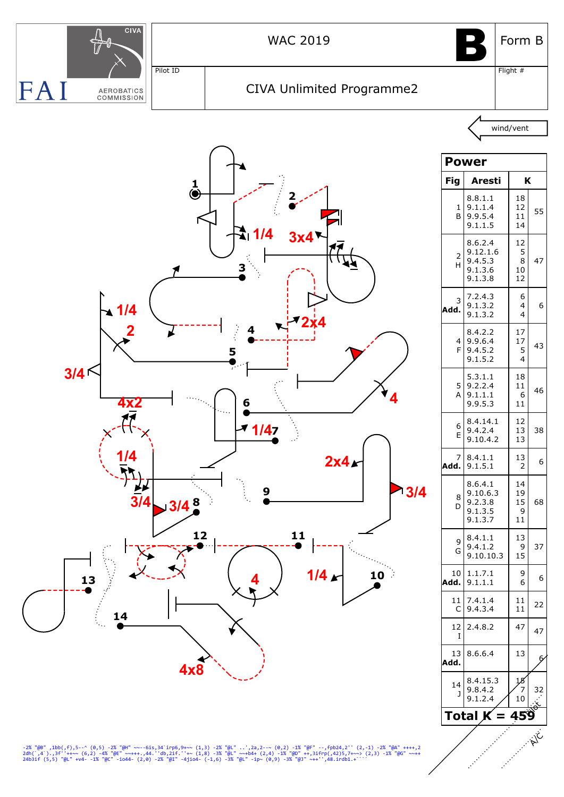

-2% "@B" ,1bb(,f),5--^ (0,5) -2% "@H" ~~--6is,34`irp6,9+~~ (1,3) -2% "@L" ..',2a,2-~~ (0,2) -1% "@F" --,fpb24,2'' (2,-1) -2% "@A" ++++,2<br>2dh(`,4`),3f''++~~ (6,2) -4% "@E" ~~+++.,44.''db,2if.''+~ (1,8) -3% "@L" ~~+b4+ (2,4)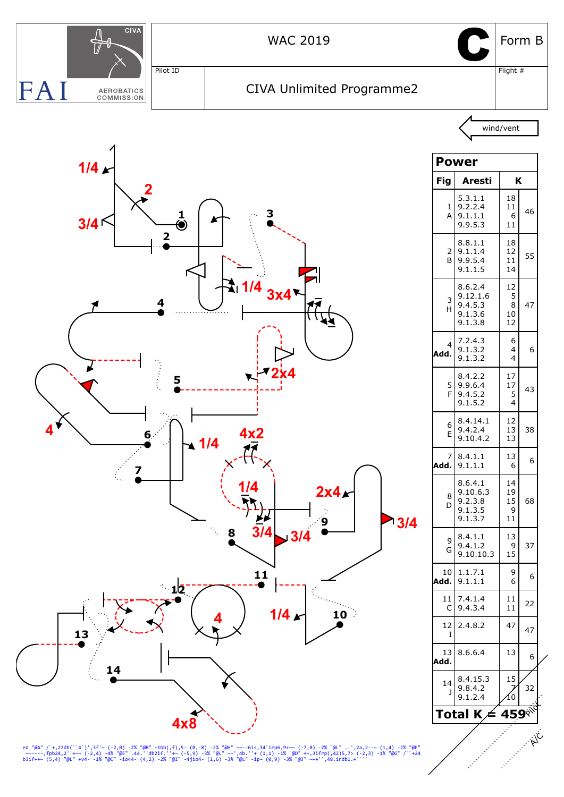

ed "@A" /`+,22dh(``4`)',3f'~ (-2,0) -2% "@B" +1bb(,f),5- (0,-8) -2% "@H" ~~--6is,34`irp6,9+~~ (-7,0) -2% "@L" ..',2a,2--~ (1,4) -2% "@F"<br>~~~----,fpb24,2''+~~ (-2,4) -4% "@E" .44.''db2if.''+~ (-5,9) -3% "@L" ~~',4b ''+ (1,1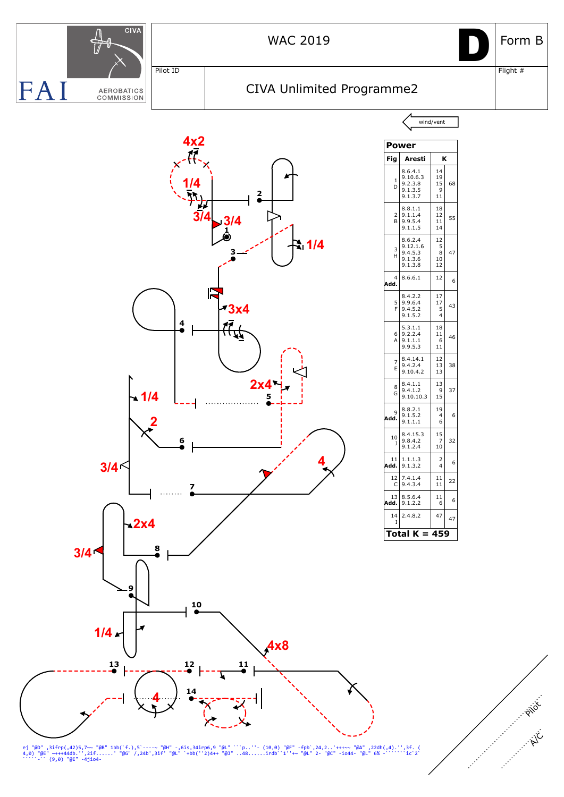

ej "@D" ,3ifrp(,42)5,7~~ "@B" 1bb(`f.),5`---~ "@H" -,6is,34irp6,9 "@L" ```p..''- (10,0) "@F" -fpb`,24,2..'+++~~ "@A" ,22dh(,4).'',3f. (<br>4,0) "@E" ~+++44db.'',2if......' "@G" /,24b',3if' "@L" `+bb(''2)4++ "@J" ..48......ird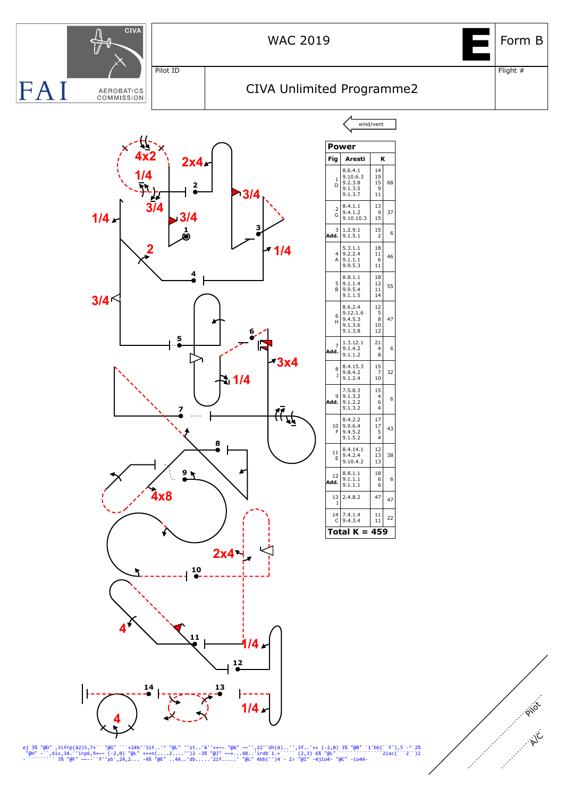

ej 3% "@D" ,3ifrp(42)5,7+`` "@G" ```+24b''3if..'^ "@L" ''zt..'4''++~~ "@A" ~~'',22''dh(4)..'',3f..'++ (-2,0) 3% "@B" `1'bb(``f'),5`-^ 2%<br>"@H" -``,6is,34.''irp6,9+~~ (-2,0) "@L" +++n(....2....'')2 -3% "@J" ~~+...48..'irdb`1

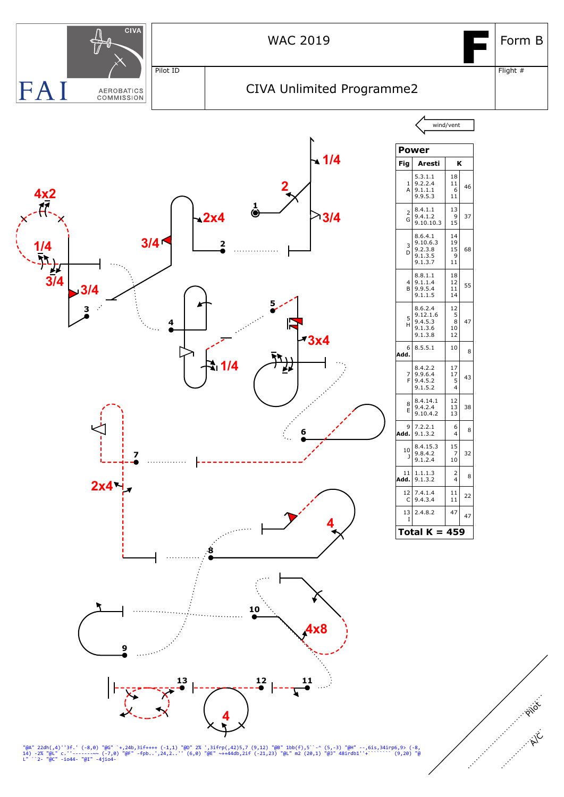

"@A" 22dh(,4)''3f.' (-8,0) "@G" `+,24b,3if++++ (-1,1) "@O" 2% ',3ifrp(,42)5,7 (9,12) "@B" 1bb(f),5``-^ (5,-3) "@H" --,6is,34irp6,9> (-8,<br>14) -2% "@L" c.''--------~- (-7,0) "@F" -fpb..',24,2..'' (6,0) "@E" ~++44db,2if (-21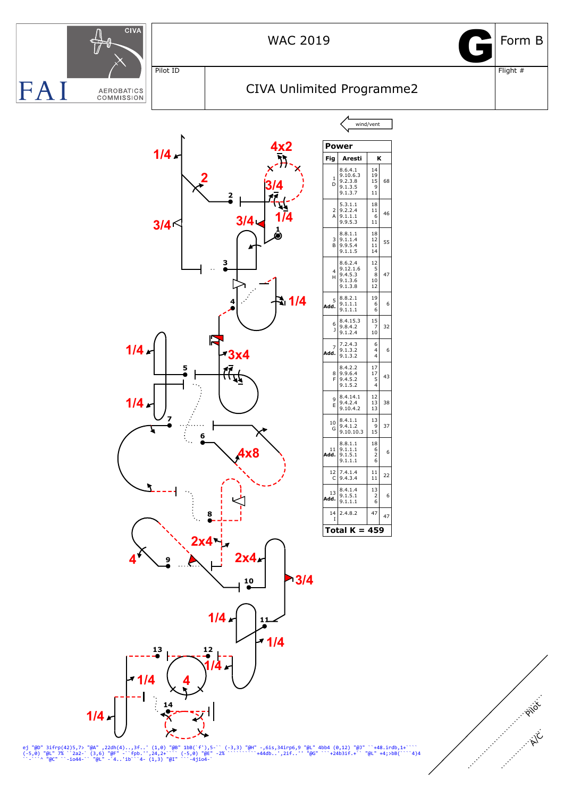

ej "@D" 3ifrp(42)5,7> "@A" ,22dh(4)..,3f..' (1,0) "@B" 1bB(`f'),5-`` (-3,3) "@H" -,6is,34irp6,9 "@L" 4bb4 (0,12) "@J" ``+48.irdb,1+````<br>{-5,0) "@L" 7% ``2a2-` (3,6) "@F" -``fpb.'',24,2+``` (-5,0) "@E" -2% ``````^+44db..',2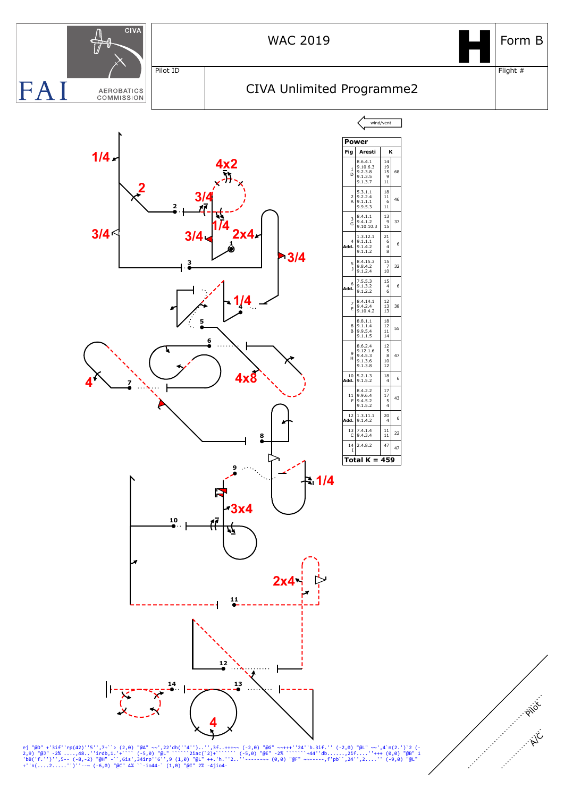

ej "@D" +'3if''rp(42)''5'',7+``> (2,0) "@A" ~~',22'dh(''4'')..'',3f..+++~~ (-2,0) "@G" ~~+++''24''b.3if.'' (-2,0) "@L" ~~',4`n(2.')`2 (-<br>'bB('f.'')'',5-- (-8,-2) "@H" -``,6is',34irp''6'',9 (1,0) "@L" ++.'h.''2..''------~~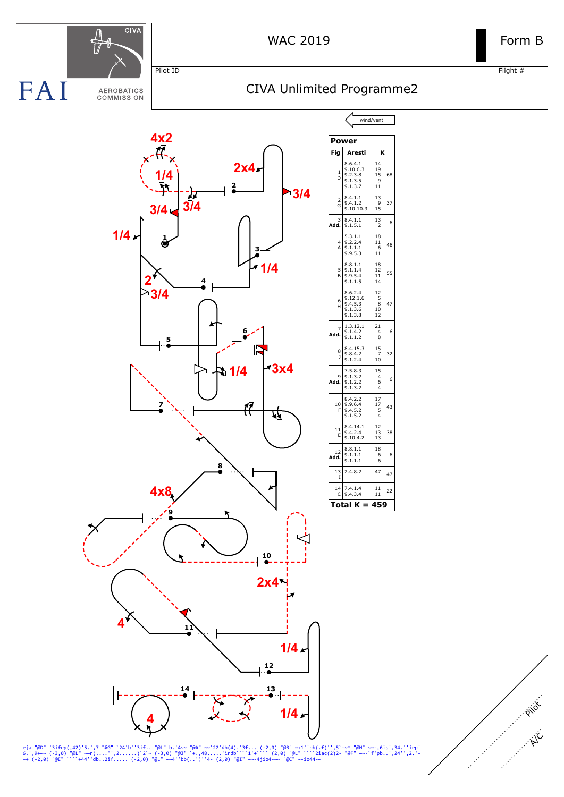

eja "@D" '3ifrp(,42)'5.',7 "@G" `24'b''3if.. "@L" b.'4~~ "@A" ~~'22'dh(4).'3f... (-2,0) "@B" ~+1''bb(.f)'',5`-~^ "@H" ~~-,6is',34.''irp'<br>6.',9+~~ (-3,0) "@L" ~~n(....'',2......)`2`~ (-3,0) "@J" `+.,48.....'irdb```1'+``` (2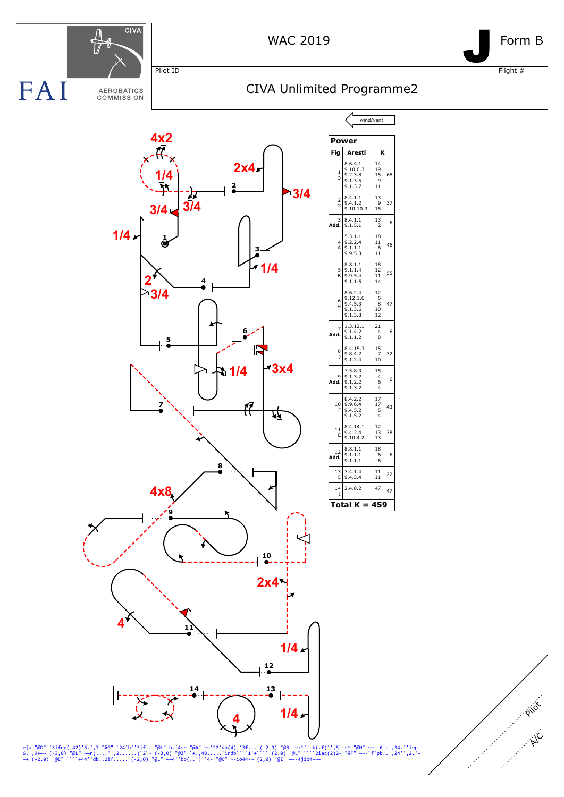

eja "@D" '3ifrp(,42)'5.',7 "@G" `24'b''3if.. "@L" b.'4~~ "@A" ~~'22'dh(4).'3f... (-2,0) "@B" ~+1''bb(.f)'',5`-~^ "@H" ~~-,6is',34.''irp'<br>6.',9+~~ (-3,0) "@L" ~~n(....'',2......)`2`~ (-3,0) "@J" `+.,48.....'irdb```i'+``` (2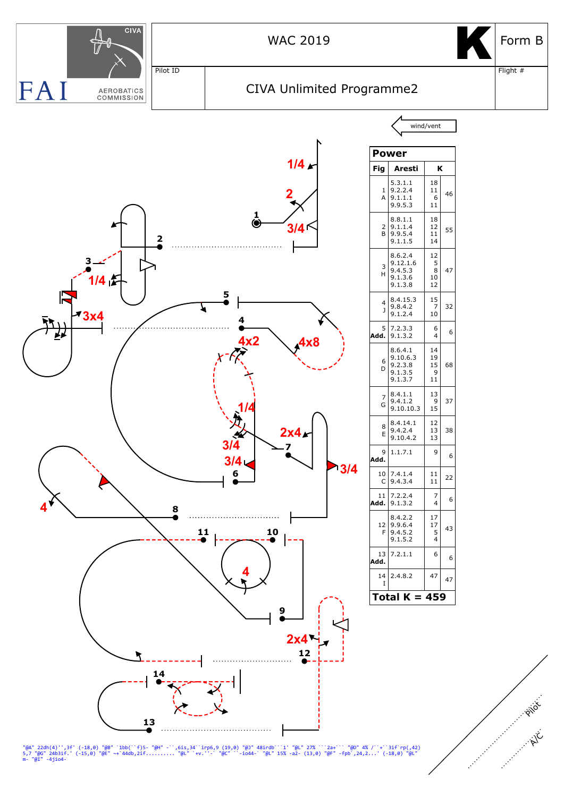

"@A" 22dh(4)'',3f' (-18,0) "@B" `1bb(``f)5- "@H" -``,6is,34``irp6,9 (19,0) "@J" 48irdb```1' "@L" 27% ```2a+``` "@D" 4% /``+``3if`rp(,42)<br>5,7 "@G" 24b3if.' (-15,0) "@E" ~+`44db,2if.......... "@L" `+v.''-` "@C" ``-io44-` "@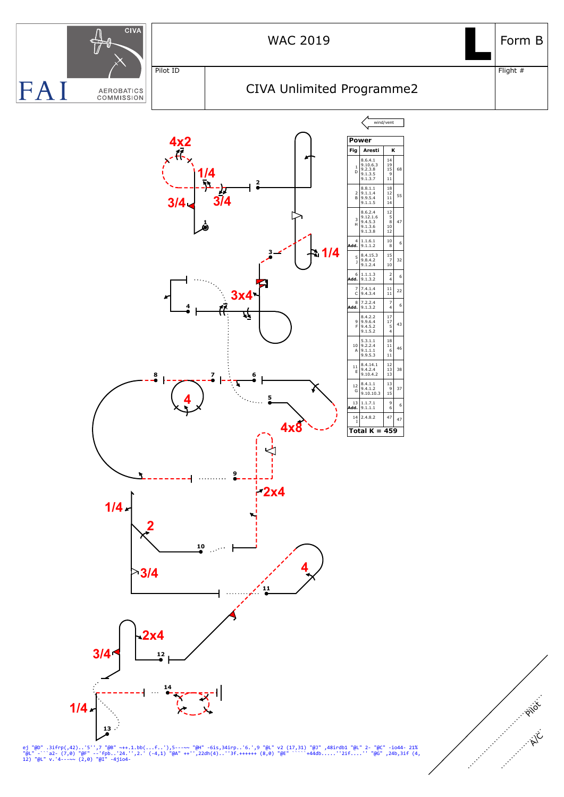

ej "@D" .3ifrp(,42)..'5'',7 "@B" ~++.1.bb(...f..'),5---~~ "@H" -6is,34irp..'6.',9 "@L" v2 (17,31) "@J" ,48irdb1 "@L" 2- "@C" -io44- 21%<br>"@L" -``a2- (7,0) "@F" --'fpb..'24.'',2.' (-4,1) "@A" ++'',22dh(4)..''3f.++++++ (8,0)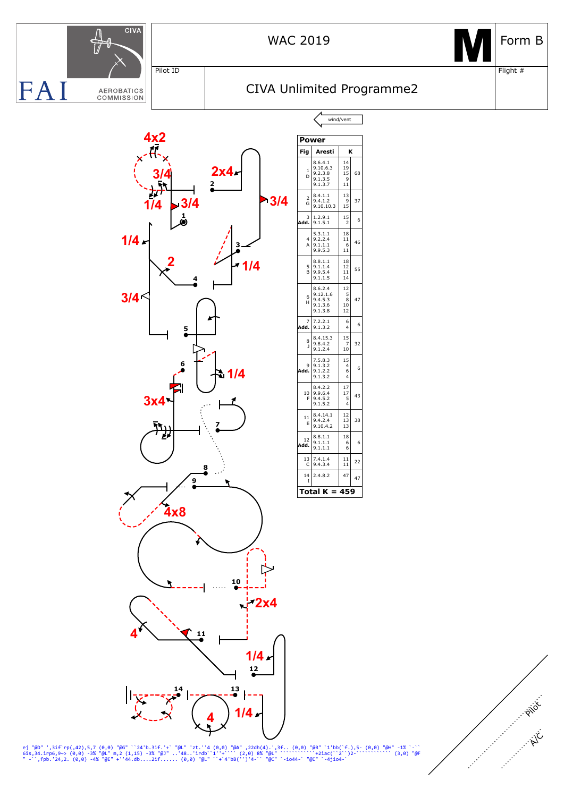

**Power**

1 D

2 G

3

4 A

5 B

6 H

7

8 J

9

10 F

11 E

 $\frac{12}{d}$ 

**Fig Aresti K**

8.6.4.1 14 9.10.6.3 19 9.2.3.8 15 9.1.3.5 9 9.1.3.7 11

8.4.1.1 13 9.4.1.2 9 9.10.10.3 15

**Add.**  $\begin{bmatrix} 3 & 1.2.9.1 & 1.5 \\ 9.1.5.1 & 2 \end{bmatrix}$  6

5.3.1.1 18 9.2.2.4 11 9.1.1.1 6 9.9.5.3 11

8.8.1.1 18<br>
9.1.1.4 12<br>
9.9.5.4 11<br>
9.1.1.5 14

8.6.2.4 12 9.12.1.6 5 9.4.5.3 8 9.1.3.6 10 9.1.3.8 12

**Add.**  $\begin{bmatrix} 7 & 7.2.2.1 & 6 \\ 9.1.3.2 & 4 \end{bmatrix}$  6

8.4.15.3 15 9.8.4.2 7 9.1.2.4 10

 $\begin{array}{c|c}\n9 & 7.5.8.3 & 15 \\
9 & 9.1.3.2 & 4 \\
9.1.2.2 & 6 & 6 \\
9.1.3.2 & 4\n\end{array}$ 

8.4.2.2 17<br>
9.9.6.4 17<br>
9.4.5.2 5<br>
9.1.5.2 4

8.4.14.1 12 9.4.2.4 13 9.10.4.2 13

 $\mathsf{Add.} \begin{bmatrix} 8.8.1.1 & 18 \\ 9.1.1.1 & 6 \\ 9.1.1.1 & 6 \end{bmatrix}$  6

 $\begin{array}{|c|c|c|c|c|}\n\hline\n13 & 7.4.1.4 & 11 \\
\hline\nC & 9.4.3.4 & 11\n\end{array}$ 

14 2.4.8.2 47 I

**Total K = 459**

68

37

46

55

47

32

43

38

22

47



wind/vent CIVA Unlimited Programme2





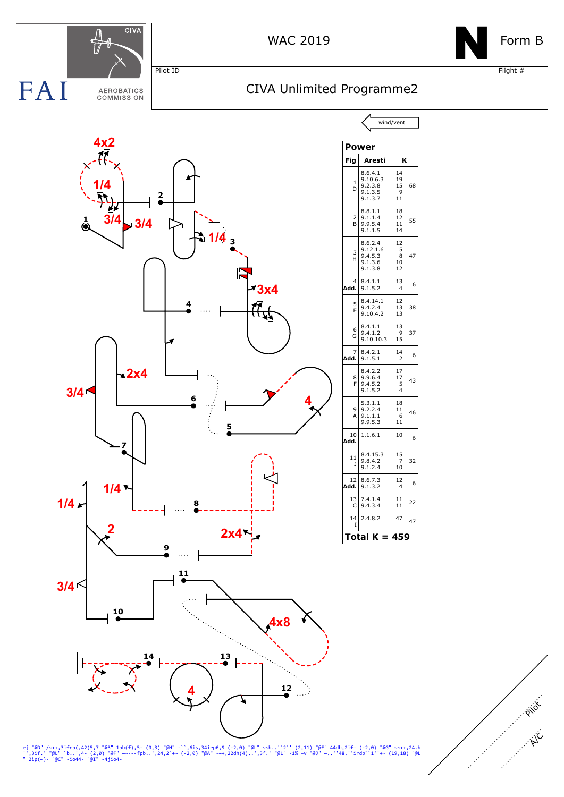

ej "@D" /~++,3ifrp(,42)5,7 "@B" 1bb(f),5- (0,3) "@H" -``,6is,34irp6,9 (-2,0) "@L" ~~b..''2'' (2,11) "@E" 44db,2if+ (-2,0) "@G" ~~++,24.b<br>'',3if.' "@L" `b..',4- (2,0) "@F" ~~---fpb..',24,2`+~ (-2,0) "@A" ~~+,22dh(4)..',3f.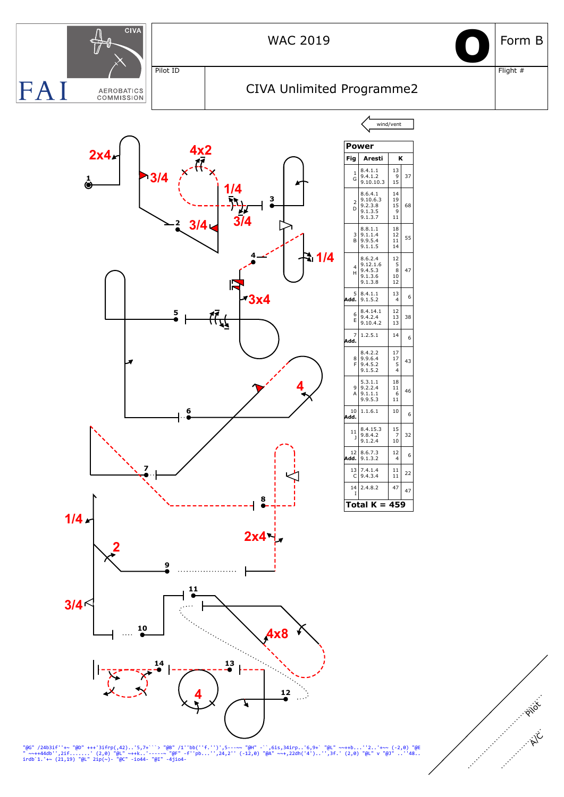

"@G" /24b3if''+~ "@D" +++'3ifrp(,42)..'5,7+```> "@B" /1''bb(''f.'')',5---~~ "@H" -``,6is,34irp..'6,9+` "@L" ~~++b...''2..'+~~ (-2,0) "@E<br>" ~~++44db'',2if.......' (2,0) "@L" ~++k..'-----~ "@F" -f''pb...'',24,2'' (-12,0) "@A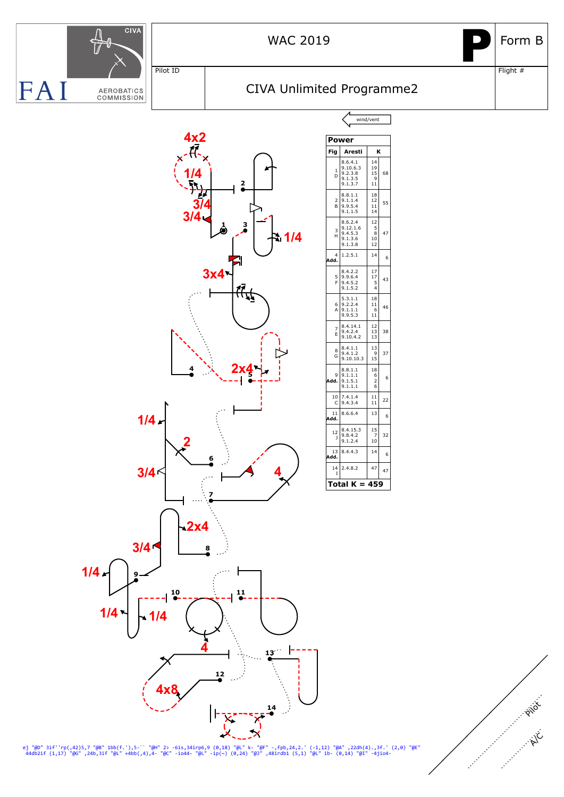

ej "@D" 3if''rp(,42)5,7 "@B" 1bb(f.'),5-`` "@H" 2> -6is,34irp6,9 (0,18) "@L" k- "@F" -,fpb,24,2.' (-1,12) "@A" ,22dh(4).,3f.' (2,0) "@E"<br>44db2if (1,17) "@G" ,24b,3if "@L" +4bb(,4),4- "@C" -io44- "@L" -ip(~) (0,24) "@J" ,48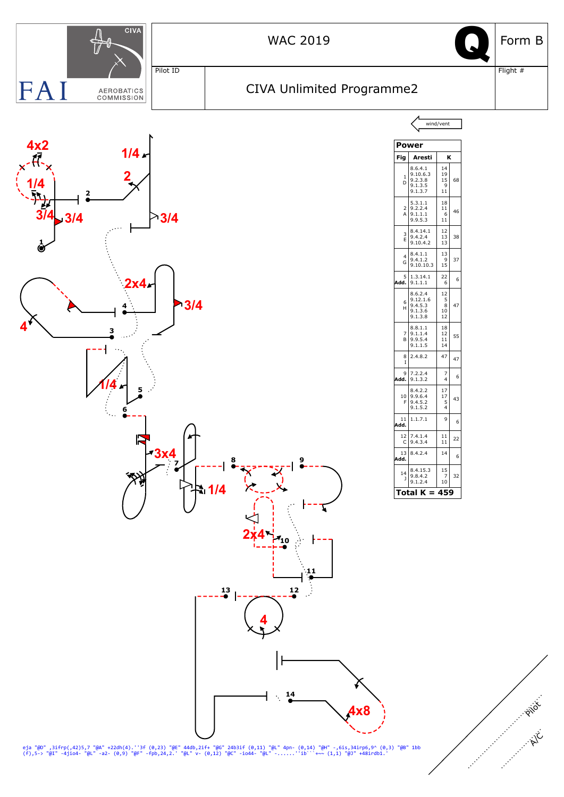

eja "@D" ,3ifrp(,42)5,7 "@A" +22dh(4).''3f (0,23) "@E" 44db,2if+ "@G" 24b3if (0,11) "@L" 4pn- (0,14) "@H" -,6is,34irp6,9^ (0,3) "@B" 1bb<br>(f),5-> "@I" -4jio4- "@L" -a2- (0,9) "@F" -fpb,24,2.' "@L" v- (0,12) "@C" -io44- "@L"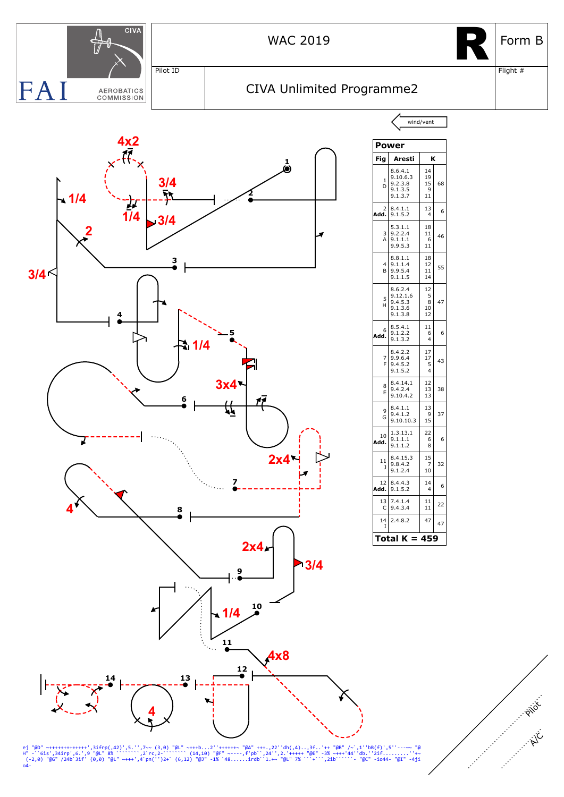

ej "@D" <del>~++++++++++++++++</del>",3ifrp(,42)',5.'',7~~ (3,0) "@L" <del>~+++b...2''++++++</del>~ "@A" +++.,22''dh(,4)..,3f..'++ "@B" /~`,1''bB(f)',5''---~~ "@<br>H" -``6is',34irp',6.',9 "@L" 8% ```````,2`rc,2-`````` (14,10) "@F" ~----,f'pb`